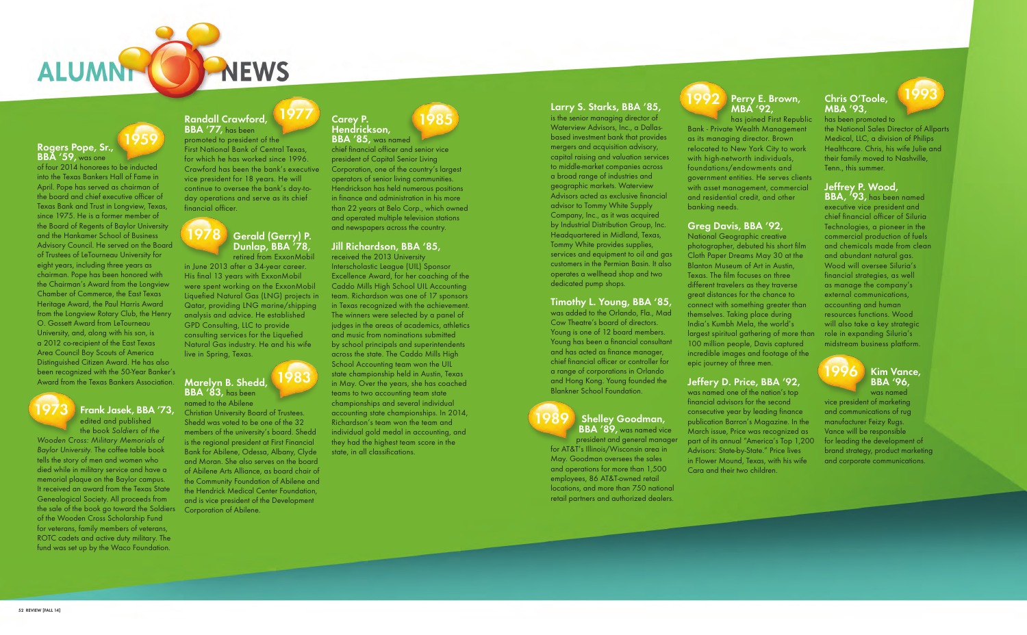# **Rogers Pope, Sr., BBA '59,** was one

# **Frank Jasek, BBA '73,**  edited and published

of four 2014 honorees to be inducted into the Texas Bankers Hall of Fame in April. Pope has served as chairman of the board and chief executive officer of Texas Bank and Trust in Longview, Texas, since 1975. He is a former member of the Board of Regents of Baylor University and the Hankamer School of Business Advisory Council. He served on the Board of Trustees of LeTourneau University for eight years, including three years as chairman. Pope has been honored with the Chairman's Award from the Longview Chamber of Commerce, the East Texas Heritage Award, the Paul Harris Award from the Longview Rotary Club, the Henry O. Gossett Award from LeTourneau University, and, along with his son, is a 2012 co-recipient of the East Texas Area Council Boy Scouts of America Distinguished Citizen Award. He has also been recognized with the 50-Year Banker's Award from the Texas Bankers Association. **Marelyn B. Shedd,** 

the book Soldiers of the Wooden Cross: Military Memorials of Baylor University. The coffee table book tells the story of men and women who died while in military service and have a memorial plaque on the Baylor campus. It received an award from the Texas State Genealogical Society. All proceeds from the sale of the book go toward the Soldiers Corporation of Abilene. of the Wooden Cross Scholarship Fund for veterans, family members of veterans, ROTC cadets and active duty military. The fund was set up by the Waco Foundation.

# **Randall Crawford,**

**BBA '77,** has been promoted to president of the First National Bank of Central Texas, for which he has worked since 1996. Crawford has been the bank's executive vice president for 18 years. He will continue to oversee the bank's day-today operations and serve as its chief financial officer.

retired from ExxonMobil in June 2013 after a 34-year career. His final 13 years with ExxonMobil were spent working on the ExxonMobil Liquefied Natural Gas (LNG) projects in Qatar, providing LNG marine/shipping analysis and advice. He established GPD Consulting, LLC to provide consulting services for the Liquefied Natural Gas industry. He and his wife live in Spring, Texas.

named to the Abilene Christian University Board of Trustees. Shedd was voted to be one of the 32 members of the university's board. Shedd is the regional president at First Financial Bank for Abilene, Odessa, Albany, Clyde and Moran. She also serves on the board of Abilene Arts Alliance, as board chair of the Community Foundation of Abilene and the Hendrick Medical Center Foundation,

and is vice president of the Development

## **Carey P. Hendrickson, BBA '85,** was named

chief financial officer and senior vice president of Capital Senior Living Corporation, one of the country's largest operators of senior living communities. Hendrickson has held numerous positions in finance and administration in his more than 22 years at Belo Corp., which owned and operated multiple television stations and newspapers across the country.

## **Jill Richardson, BBA '85,**

received the 2013 University Interscholastic League (UIL) Sponsor Excellence Award, for her coaching of the Caddo Mills High School UIL Accounting team. Richardson was one of 17 sponsors in Texas recognized with the achievement. The winners were selected by a panel of judges in the areas of academics, athletics and music from nominations submitted by school principals and superintendents across the state. The Caddo Mills High School Accounting team won the UIL state championship held in Austin, Texas in May. Over the years, she has coached teams to two accounting team state championships and several individual accounting state championships. In 2014, Richardson's team won the team and individual gold medal in accounting, and they had the highest team score in the state, in all classifications.

## **Larry S. Starks, BBA '85,**

is the senior managing director of Waterview Advisors, Inc., a Dallasbased investment bank that provides mergers and acquisition advisory, capital raising and valuation services to middle-market companies across a broad range of industries and geographic markets. Waterview Advisors acted as exclusive financial advisor to Tommy White Supply Company, Inc., as it was acquired by Industrial Distribution Group, Inc. Headquartered in Midland, Texas, Tommy White provides supplies, services and equipment to oil and gas customers in the Permian Basin. It also operates a wellhead shop and two dedicated pump shops.



# **Timothy L. Young, BBA '85,**

was added to the Orlando, Fla., Mad Cow Theatre's board of directors. Young is one of 12 board members. Young has been a financial consultant and has acted as finance manager, chief financial officer or controller for a range of corporations in Orlando and Hong Kong. Young founded the Blankner School Foundation.

# **BBA '83,** has been **1983**

## **Shelley Goodman, BBA '89,** was named vice

president and general manager for AT&T's Illinois/Wisconsin area in May. Goodman oversees the sales and operations for more than 1,500 employees, 86 AT&T-owned retail locations, and more than 750 national retail partners and authorized dealers.

# **Perry E. Brown, MBA '92,**

has joined First Republic Bank - Private Wealth Management as its managing director. Brown relocated to New York City to work with high-networth individuals, foundations/endowments and government entities. He serves clients with asset management, commercial and residential credit, and other banking needs.

# **Greg Davis, BBA '92,**

National Geographic creative photographer, debuted his short film Cloth Paper Dreams May 30 at the Blanton Museum of Art in Austin, Texas. The film focuses on three different travelers as they traverse great distances for the chance to connect with something greater than themselves. Taking place during India's Kumbh Mela, the world's largest spiritual gathering of more than 100 million people, Davis captured incredible images and footage of the epic journey of three men.

# **Jeffery D. Price, BBA '92,**

was named one of the nation's top financial advisors for the second consecutive year by leading finance publication Barron's Magazine. In the March issue, Price was recognized as part of its annual "America's Top 1,200 Advisors: State-by-State." Price lives in Flower Mound, Texas, with his wife Cara and their two children.

# **Chris O'Toole, MBA '93,**

has been promoted to the National Sales Director of Allparts Medical, LLC, a division of Philips Healthcare. Chris, his wife Julie and their family moved to Nashville, Tenn., this summer.

# **Jeffrey P. Wood,**

**BBA, '93,** has been named executive vice president and chief financial officer of Siluria Technologies, a pioneer in the commercial production of fuels and chemicals made from clean and abundant natural gas. Wood will oversee Siluria's financial strategies, as well as manage the company's external communications, accounting and human resources functions. Wood will also take a key strategic role in expanding Siluria's midstream business platform.

vice president of marketing and communications of rug manufacturer Feizy Rugs. Vance will be responsible for leading the development of brand strategy, product marketing and corporate communications.





**1959**



**1977**

**1985**



**1989**

# **1992**